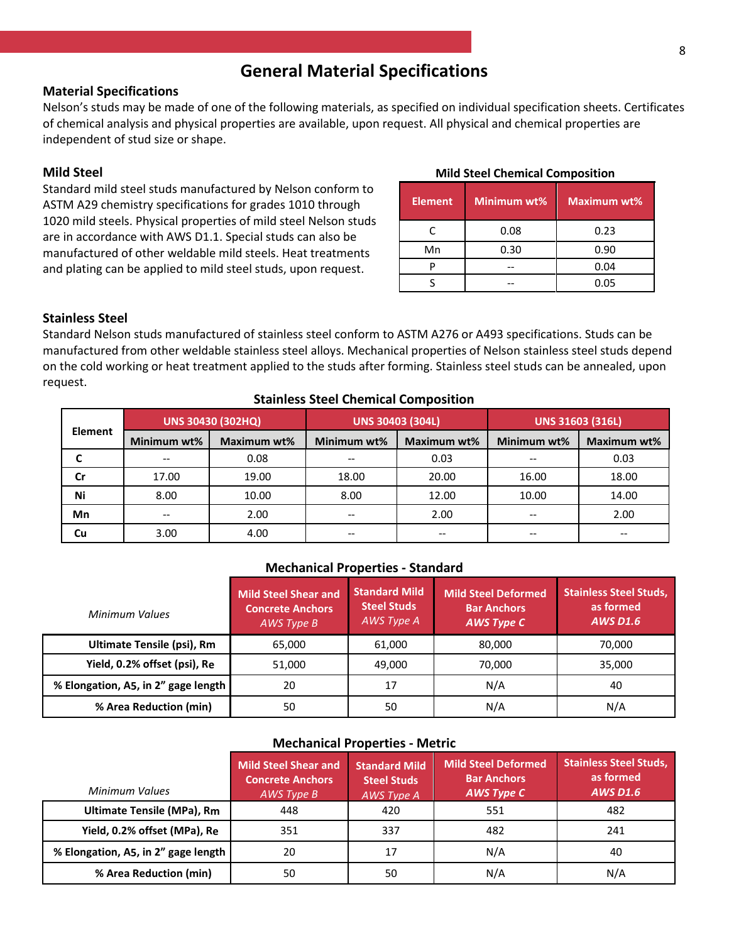### **General Material Specifications**

### **Material Specifications**

Nelson's studs may be made of one of the following materials, as specified on individual specification sheets. Certificates of chemical analysis and physical properties are available, upon request. All physical and chemical properties are independent of stud size or shape.

### **Mild Steel**

Standard mild steel studs manufactured by Nelson conform to ASTM A29 chemistry specifications for grades 1010 through 1020 mild steels. Physical properties of mild steel Nelson studs are in accordance with AWS D1.1. Special studs can also be manufactured of other weldable mild steels. Heat treatments and plating can be applied to mild steel studs, upon request.

|  |  |  | <b>Mild Steel Chemical Composition</b> |
|--|--|--|----------------------------------------|
|--|--|--|----------------------------------------|

| <b>Element</b> | Minimum wt% | <b>Maximum wt%</b> |
|----------------|-------------|--------------------|
| C              | 0.08        | 0.23               |
| Mn             | 0.30        | 0.90               |
|                |             | 0.04               |
|                |             | 0.05               |

### **Stainless Steel**

Standard Nelson studs manufactured of stainless steel conform to ASTM A276 or A493 specifications. Studs can be manufactured from other weldable stainless steel alloys. Mechanical properties of Nelson stainless steel studs depend on the cold working or heat treatment applied to the studs after forming. Stainless steel studs can be annealed, upon request.

### **Stainless Steel Chemical Composition**

| <b>Element</b> | <b>UNS 30430 (302HQ)</b> |             | <b>UNS 30403 (304L)</b> |             | <b>UNS 31603 (316L)</b> |             |
|----------------|--------------------------|-------------|-------------------------|-------------|-------------------------|-------------|
|                | Minimum wt%              | Maximum wt% | Minimum wt%             | Maximum wt% | Minimum wt%             | Maximum wt% |
|                | $- -$                    | 0.08        |                         | 0.03        |                         | 0.03        |
| Cr             | 17.00                    | 19.00       | 18.00                   | 20.00       | 16.00                   | 18.00       |
| Ni             | 8.00                     | 10.00       | 8.00                    | 12.00       | 10.00                   | 14.00       |
| Mn             | $- -$                    | 2.00        |                         | 2.00        |                         | 2.00        |
| Cu             | 3.00                     | 4.00        |                         |             |                         |             |

### **Mechanical Properties - Standard**

| Minimum Values                      | <b>Mild Steel Shear and</b><br><b>Concrete Anchors</b><br>AWS Type B | <b>Standard Mild</b><br><b>Steel Studs</b><br>AWS Type A | <b>Mild Steel Deformed</b><br><b>Bar Anchors</b><br><b>AWS Type C</b> | <b>Stainless Steel Studs,</b><br>as formed<br><b>AWS D1.6</b> |
|-------------------------------------|----------------------------------------------------------------------|----------------------------------------------------------|-----------------------------------------------------------------------|---------------------------------------------------------------|
| <b>Ultimate Tensile (psi), Rm</b>   | 65.000                                                               | 61,000                                                   | 80,000                                                                | 70,000                                                        |
| Yield, 0.2% offset (psi), Re        | 51.000                                                               | 49.000                                                   | 70.000                                                                | 35,000                                                        |
| % Elongation, A5, in 2" gage length | 20                                                                   | 17                                                       | N/A                                                                   | 40                                                            |
| % Area Reduction (min)              | 50                                                                   | 50                                                       | N/A                                                                   | N/A                                                           |

### **Mechanical Properties - Metric**

| Minimum Values                      | Mild Steel Shear and<br><b>Concrete Anchors</b><br>AWS Type B | <b>Standard Mild</b><br><b>Steel Studs</b><br><b>AWS Type A</b> | <b>Mild Steel Deformed</b><br><b>Bar Anchors</b><br><b>AWS Type C</b> | <b>Stainless Steel Studs,</b><br>as formed<br><b>AWS D1.6</b> |
|-------------------------------------|---------------------------------------------------------------|-----------------------------------------------------------------|-----------------------------------------------------------------------|---------------------------------------------------------------|
| <b>Ultimate Tensile (MPa), Rm</b>   | 448                                                           | 420                                                             | 551                                                                   | 482                                                           |
| Yield, 0.2% offset (MPa), Re        | 351                                                           | 337                                                             | 482                                                                   | 241                                                           |
| % Elongation, A5, in 2" gage length | 20                                                            | 17                                                              | N/A                                                                   | 40                                                            |
| % Area Reduction (min)              | 50                                                            | 50                                                              | N/A                                                                   | N/A                                                           |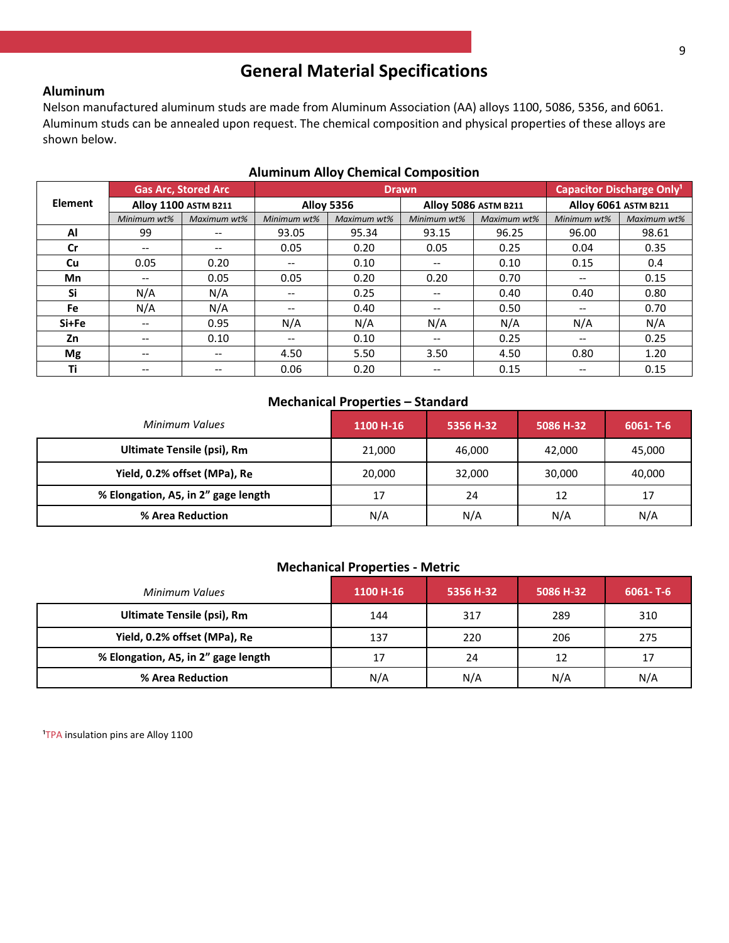## **General Material Specifications**

### **Aluminum**

Nelson manufactured aluminum studs are made from Aluminum Association (AA) alloys 1100, 5086, 5356, and 6061. Aluminum studs can be annealed upon request. The chemical composition and physical properties of these alloys are shown below.

|                | <b>Gas Arc, Stored Arc</b> |                             | <b>Drawn</b>      |             |                      |             | Capacitor Discharge Only <sup>1</sup> |             |
|----------------|----------------------------|-----------------------------|-------------------|-------------|----------------------|-------------|---------------------------------------|-------------|
| <b>Element</b> |                            | <b>Alloy 1100 ASTM B211</b> | <b>Alloy 5356</b> |             | Alloy 5086 ASTM B211 |             | <b>Alloy 6061 ASTM B211</b>           |             |
|                | Minimum wt%                | Maximum wt%                 | Minimum wt%       | Maximum wt% | Minimum wt%          | Maximum wt% | Minimum wt%                           | Maximum wt% |
| Al             | 99                         |                             | 93.05             | 95.34       | 93.15                | 96.25       | 96.00                                 | 98.61       |
| <b>Cr</b>      | --                         | --                          | 0.05              | 0.20        | 0.05                 | 0.25        | 0.04                                  | 0.35        |
| Cu             | 0.05                       | 0.20                        | $- -$             | 0.10        | $- -$                | 0.10        | 0.15                                  | 0.4         |
| <b>Mn</b>      | --                         | 0.05                        | 0.05              | 0.20        | 0.20                 | 0.70        | $\hspace{0.05cm}$ – $\hspace{0.05cm}$ | 0.15        |
| Si             | N/A                        | N/A                         | $- -$             | 0.25        | $- -$                | 0.40        | 0.40                                  | 0.80        |
| Fe             | N/A                        | N/A                         | $- -$             | 0.40        | $- -$                | 0.50        | $\hspace{0.05cm} \ldots$              | 0.70        |
| Si+Fe          |                            | 0.95                        | N/A               | N/A         | N/A                  | N/A         | N/A                                   | N/A         |
| Zn             | --                         | 0.10                        | $- -$             | 0.10        | $- -$                | 0.25        | $\hspace{0.05cm} \ldots$              | 0.25        |
| Mg             | --                         | --                          | 4.50              | 5.50        | 3.50                 | 4.50        | 0.80                                  | 1.20        |
| Τi             | --                         | --                          | 0.06              | 0.20        | $- -$                | 0.15        | $-$                                   | 0.15        |

### **Aluminum Alloy Chemical Composition**

### **Mechanical Properties – Standard**

| Minimum Values                      | 1100 H-16 | 5356 H-32 | 5086 H-32 | $6061 - T - 6$ |
|-------------------------------------|-----------|-----------|-----------|----------------|
| <b>Ultimate Tensile (psi), Rm</b>   | 21,000    | 46,000    | 42,000    | 45,000         |
| Yield, 0.2% offset (MPa), Re        | 20,000    | 32,000    | 30,000    | 40,000         |
| % Elongation, A5, in 2" gage length | 17        | 24        | 12        | 17             |
| % Area Reduction                    | N/A       | N/A       | N/A       | N/A            |

### **Mechanical Properties - Metric**

| Minimum Values                      | 1100 H-16 | 5356 H-32 | 5086 H-32 | $6061 - T - 6$ |
|-------------------------------------|-----------|-----------|-----------|----------------|
| Ultimate Tensile (psi), Rm          | 144       | 317       | 289       | 310            |
| Yield, 0.2% offset (MPa), Re        | 137       | 220       | 206       | 275            |
| % Elongation, A5, in 2" gage length | 17        | 24        | 12        | 17             |
| % Area Reduction                    | N/A       | N/A       | N/A       | N/A            |

<sup>1</sup>TPA insulation pins are Alloy 1100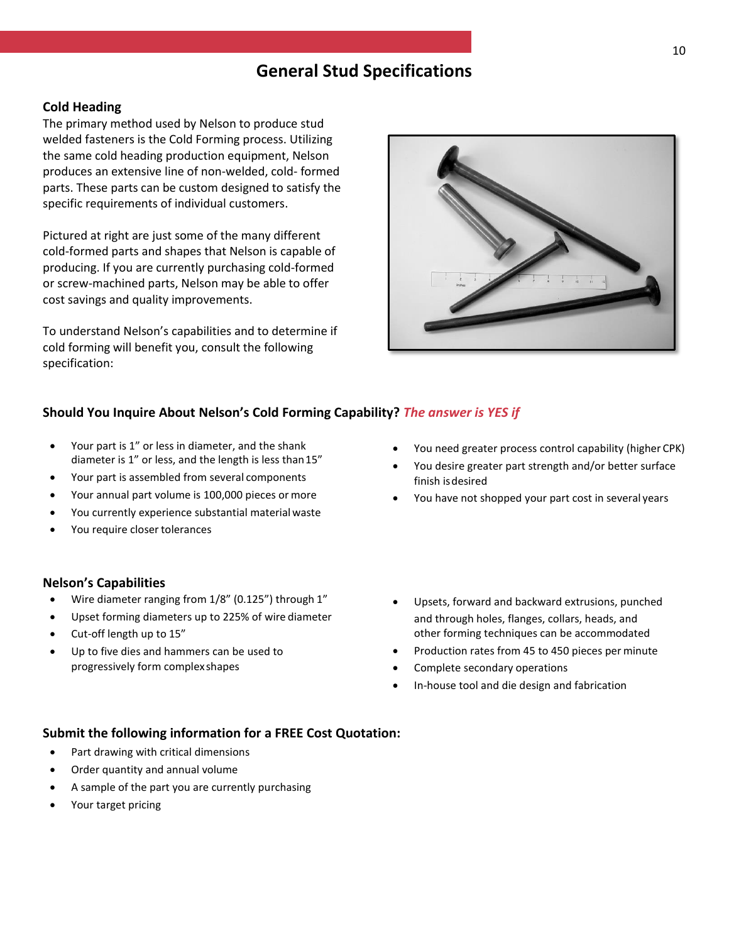### **Cold Heading**

The primary method used by Nelson to produce stud welded fasteners is the Cold Forming process. Utilizing the same cold heading production equipment, Nelson produces an extensive line of non-welded, cold- formed parts. These parts can be custom designed to satisfy the specific requirements of individual customers.

Pictured at right are just some of the many different cold-formed parts and shapes that Nelson is capable of producing. If you are currently purchasing cold-formed or screw-machined parts, Nelson may be able to offer cost savings and quality improvements.

To understand Nelson's capabilities and to determine if cold forming will benefit you, consult the following specification:

### **Should You Inquire About Nelson's Cold Forming Capability?** *The answer is YES if*

- Your part is 1" or less in diameter, and the shank diameter is 1" or less, and the length is less than15"
- Your part is assembled from several components
- Your annual part volume is 100,000 pieces or more
- You currently experience substantial material waste
- You require closer tolerances

### **Nelson's Capabilities**

- Wire diameter ranging from 1/8" (0.125") through 1"
- Upset forming diameters up to 225% of wire diameter
- Cut-off length up to 15"
- Up to five dies and hammers can be used to progressively form complexshapes
- You need greater process control capability (higher CPK)
- You desire greater part strength and/or better surface finish isdesired
- You have not shopped your part cost in several years
- Upsets, forward and backward extrusions, punched and through holes, flanges, collars, heads, and other forming techniques can be accommodated
- Production rates from 45 to 450 pieces per minute
- Complete secondary operations
- In-house tool and die design and fabrication

### **Submit the following information for a FREE Cost Quotation:**

- Part drawing with critical dimensions
- Order quantity and annual volume
- A sample of the part you are currently purchasing
- Your target pricing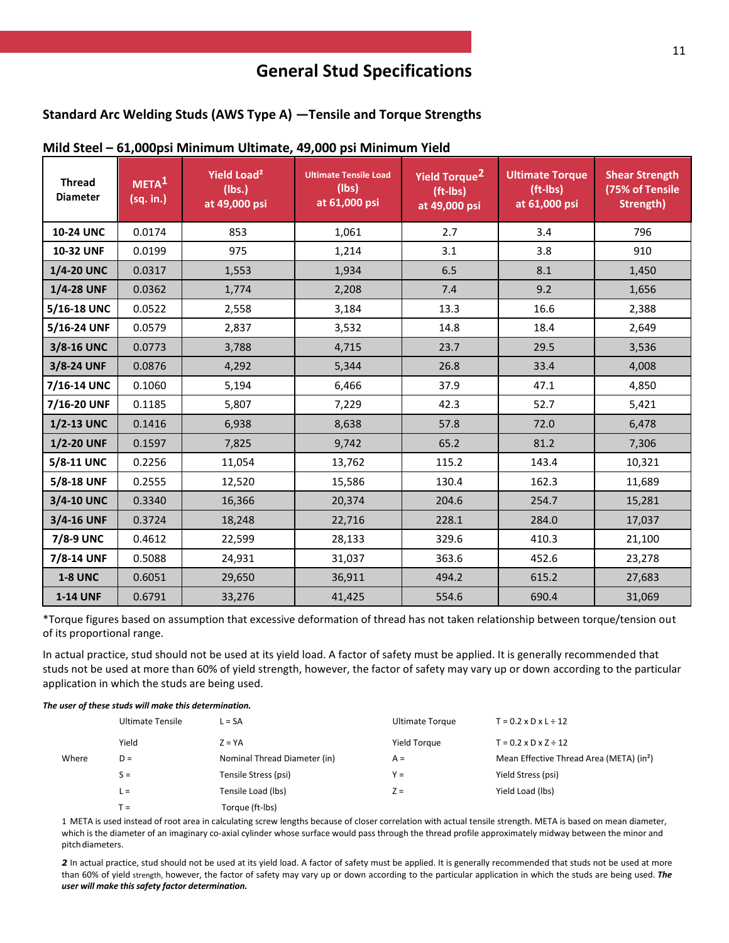### **Standard Arc Welding Studs (AWS Type A) —Tensile and Torque Strengths**

| <b>Thread</b><br><b>Diameter</b> | META <sup>1</sup><br>(sq. in.) | Yield Load <sup>2</sup><br>(Ibs.)<br>at 49,000 psi | <b>Ultimate Tensile Load</b><br>(lbs)<br>at 61,000 psi | Yield Torque <sup>2</sup><br>$(ft-lbs)$<br>at 49,000 psi | <b>Ultimate Torque</b><br>(ft-lbs)<br>at 61,000 psi | <b>Shear Strength</b><br>(75% of Tensile<br>Strength) |
|----------------------------------|--------------------------------|----------------------------------------------------|--------------------------------------------------------|----------------------------------------------------------|-----------------------------------------------------|-------------------------------------------------------|
| <b>10-24 UNC</b>                 | 0.0174                         | 853                                                | 1,061                                                  | 2.7                                                      | 3.4                                                 | 796                                                   |
| <b>10-32 UNF</b>                 | 0.0199                         | 975                                                | 1,214                                                  | 3.1                                                      | 3.8                                                 | 910                                                   |
| 1/4-20 UNC                       | 0.0317                         | 1,553                                              | 1,934                                                  | 6.5                                                      | 8.1                                                 | 1,450                                                 |
| 1/4-28 UNF                       | 0.0362                         | 1,774                                              | 2,208                                                  | 7.4                                                      | 9.2                                                 | 1,656                                                 |
| 5/16-18 UNC                      | 0.0522                         | 2,558                                              | 3,184                                                  | 13.3                                                     | 16.6                                                | 2,388                                                 |
| 5/16-24 UNF                      | 0.0579                         | 2,837                                              | 3,532                                                  | 14.8                                                     | 18.4                                                | 2,649                                                 |
| 3/8-16 UNC                       | 0.0773                         | 3,788                                              | 4,715                                                  | 23.7                                                     | 29.5                                                | 3,536                                                 |
| 3/8-24 UNF                       | 0.0876                         | 4,292                                              | 5,344                                                  | 26.8                                                     | 33.4                                                | 4,008                                                 |
| 7/16-14 UNC                      | 0.1060                         | 5,194                                              | 6,466                                                  | 37.9                                                     | 47.1                                                | 4,850                                                 |
| 7/16-20 UNF                      | 0.1185                         | 5,807                                              | 7,229                                                  | 42.3                                                     | 52.7                                                | 5,421                                                 |
| 1/2-13 UNC                       | 0.1416                         | 6,938                                              | 8,638                                                  | 57.8                                                     | 72.0                                                | 6,478                                                 |
| 1/2-20 UNF                       | 0.1597                         | 7,825                                              | 9,742                                                  | 65.2                                                     | 81.2                                                | 7,306                                                 |
| 5/8-11 UNC                       | 0.2256                         | 11,054                                             | 13,762                                                 | 115.2                                                    | 143.4                                               | 10,321                                                |
| 5/8-18 UNF                       | 0.2555                         | 12,520                                             | 15,586                                                 | 130.4                                                    | 162.3                                               | 11,689                                                |
| 3/4-10 UNC                       | 0.3340                         | 16,366                                             | 20,374                                                 | 204.6                                                    | 254.7                                               | 15,281                                                |
| 3/4-16 UNF                       | 0.3724                         | 18,248                                             | 22,716                                                 | 228.1                                                    | 284.0                                               | 17,037                                                |
| 7/8-9 UNC                        | 0.4612                         | 22,599                                             | 28,133                                                 | 329.6                                                    | 410.3                                               | 21,100                                                |
| 7/8-14 UNF                       | 0.5088                         | 24,931                                             | 31,037                                                 | 363.6                                                    | 452.6                                               | 23,278                                                |
| <b>1-8 UNC</b>                   | 0.6051                         | 29,650                                             | 36,911                                                 | 494.2                                                    | 615.2                                               | 27,683                                                |
| <b>1-14 UNF</b>                  | 0.6791                         | 33,276                                             | 41,425                                                 | 554.6                                                    | 690.4                                               | 31,069                                                |

#### **Mild Steel – 61,000psi Minimum Ultimate, 49,000 psi Minimum Yield**

\*Torque figures based on assumption that excessive deformation of thread has not taken relationship between torque/tension out of its proportional range.

In actual practice, stud should not be used at its yield load. A factor of safety must be applied. It is generally recommended that studs not be used at more than 60% of yield strength, however, the factor of safety may vary up or down according to the particular application in which the studs are being used.

#### *The user of these studs will make this determination.*

|       | <b>Ultimate Tensile</b> | $L = SA$                     | Ultimate Torque | $T = 0.2 \times D \times L \div 12$                  |
|-------|-------------------------|------------------------------|-----------------|------------------------------------------------------|
|       | Yield                   | $Z = YA$                     | Yield Torque    | $T = 0.2 \times D \times Z \div 12$                  |
| Where | $D =$                   | Nominal Thread Diameter (in) | $A =$           | Mean Effective Thread Area (META) (in <sup>2</sup> ) |
|       | $S =$                   | Tensile Stress (psi)         | $Y =$           | Yield Stress (psi)                                   |
|       | L =                     | Tensile Load (lbs)           | $Z =$           | Yield Load (lbs)                                     |
|       | $T =$                   | Torque (ft-lbs)              |                 |                                                      |

1 META is used instead of root area in calculating screw lengths because of closer correlation with actual tensile strength. META is based on mean diameter, which is the diameter of an imaginary co-axial cylinder whose surface would pass through the thread profile approximately midway between the minor and pitch diameters.

*2* In actual practice, stud should not be used at its yield load. A factor of safety must be applied. It is generally recommended that studs not be used at more than 60% of yield strength, however, the factor of safety may vary up or down according to the particular application in which the studs are being used. *The user will make thissafety factor determination.*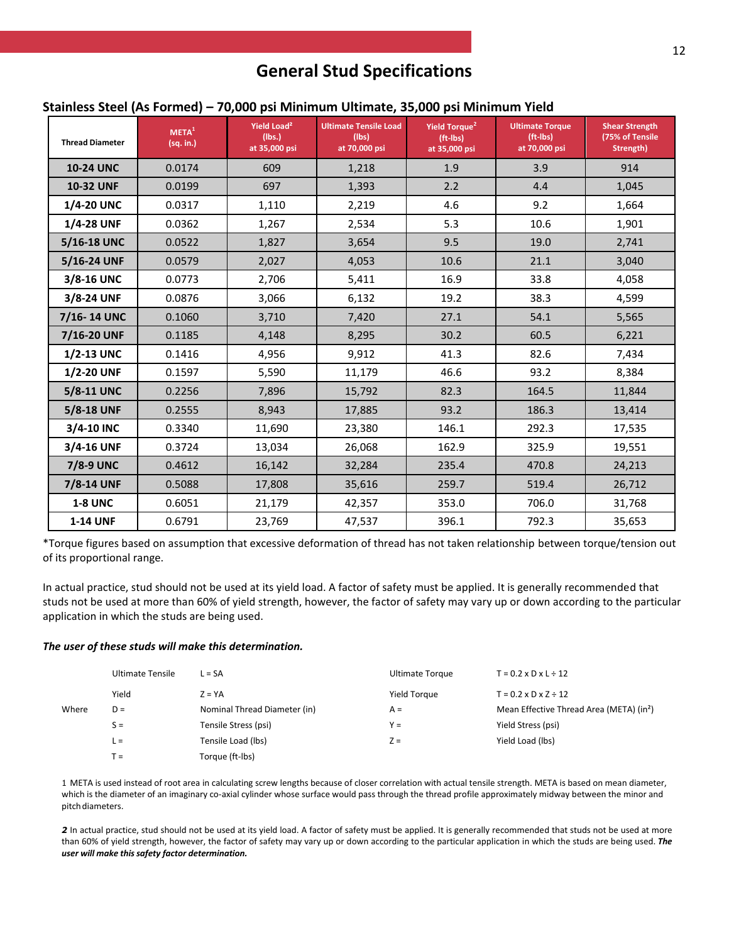### **Stainless Steel (As Formed) – 70,000 psi Minimum Ultimate, 35,000 psi Minimum Yield**

| <b>Thread Diameter</b> | META <sup>1</sup><br>(sq. in.) | Yield Load <sup>2</sup><br>(Ibs.)<br>at 35,000 psi | <b>Ultimate Tensile Load</b><br>(lbs)<br>at 70,000 psi | Yield Torque <sup>2</sup><br>$(ft - Ibs)$<br>at 35,000 psi | <b>Ultimate Torque</b><br>(ft-lbs)<br>at 70,000 psi | <b>Shear Strength</b><br>(75% of Tensile<br>Strength) |
|------------------------|--------------------------------|----------------------------------------------------|--------------------------------------------------------|------------------------------------------------------------|-----------------------------------------------------|-------------------------------------------------------|
| <b>10-24 UNC</b>       | 0.0174                         | 609                                                | 1,218                                                  | 1.9                                                        | 3.9                                                 | 914                                                   |
| <b>10-32 UNF</b>       | 0.0199                         | 697                                                | 1,393                                                  | 2.2                                                        | 4.4                                                 | 1,045                                                 |
| 1/4-20 UNC             | 0.0317                         | 1,110                                              | 2,219                                                  | 4.6                                                        | 9.2                                                 | 1,664                                                 |
| 1/4-28 UNF             | 0.0362                         | 1,267                                              | 2,534                                                  | 5.3                                                        | 10.6                                                | 1,901                                                 |
| 5/16-18 UNC            | 0.0522                         | 1,827                                              | 3,654                                                  | 9.5                                                        | 19.0                                                | 2,741                                                 |
| 5/16-24 UNF            | 0.0579                         | 2,027                                              | 4,053                                                  | 10.6                                                       | 21.1                                                | 3,040                                                 |
| 3/8-16 UNC             | 0.0773                         | 2,706                                              | 5,411                                                  | 16.9                                                       | 33.8                                                | 4,058                                                 |
| 3/8-24 UNF             | 0.0876                         | 3,066                                              | 6,132                                                  | 19.2                                                       | 38.3                                                | 4,599                                                 |
| 7/16-14 UNC            | 0.1060                         | 3,710                                              | 7,420                                                  | 27.1                                                       | 54.1                                                | 5,565                                                 |
| 7/16-20 UNF            | 0.1185                         | 4,148                                              | 8,295                                                  | 30.2                                                       | 60.5                                                | 6,221                                                 |
| <b>1/2-13 UNC</b>      | 0.1416                         | 4,956                                              | 9,912                                                  | 41.3                                                       | 82.6                                                | 7,434                                                 |
| 1/2-20 UNF             | 0.1597                         | 5,590                                              | 11,179                                                 | 46.6                                                       | 93.2                                                | 8,384                                                 |
| 5/8-11 UNC             | 0.2256                         | 7,896                                              | 15,792                                                 | 82.3                                                       | 164.5                                               | 11,844                                                |
| 5/8-18 UNF             | 0.2555                         | 8,943                                              | 17,885                                                 | 93.2                                                       | 186.3                                               | 13,414                                                |
| 3/4-10 INC             | 0.3340                         | 11,690                                             | 23,380                                                 | 146.1                                                      | 292.3                                               | 17,535                                                |
| 3/4-16 UNF             | 0.3724                         | 13,034                                             | 26,068                                                 | 162.9                                                      | 325.9                                               | 19,551                                                |
| 7/8-9 UNC              | 0.4612                         | 16,142                                             | 32,284                                                 | 235.4                                                      | 470.8                                               | 24,213                                                |
| 7/8-14 UNF             | 0.5088                         | 17,808                                             | 35,616                                                 | 259.7                                                      | 519.4                                               | 26,712                                                |
| <b>1-8 UNC</b>         | 0.6051                         | 21,179                                             | 42,357                                                 | 353.0                                                      | 706.0                                               | 31,768                                                |
| <b>1-14 UNF</b>        | 0.6791                         | 23,769                                             | 47,537                                                 | 396.1                                                      | 792.3                                               | 35,653                                                |

\*Torque figures based on assumption that excessive deformation of thread has not taken relationship between torque/tension out of its proportional range.

In actual practice, stud should not be used at its yield load. A factor of safety must be applied. It is generally recommended that studs not be used at more than 60% of yield strength, however, the factor of safety may vary up or down according to the particular application in which the studs are being used.

#### *The user of these studs will make this determination.*

|       | <b>Ultimate Tensile</b> | $L = SA$                     | Ultimate Torque | $T = 0.2 \times D \times L \div 12$                  |
|-------|-------------------------|------------------------------|-----------------|------------------------------------------------------|
|       | Yield                   | $Z = YA$                     | Yield Torque    | $T = 0.2 \times D \times Z \div 12$                  |
| Where | $D =$                   | Nominal Thread Diameter (in) | $A =$           | Mean Effective Thread Area (META) (in <sup>2</sup> ) |
|       | $S =$                   | Tensile Stress (psi)         | $Y =$           | Yield Stress (psi)                                   |
|       | $L =$                   | Tensile Load (lbs)           | $Z =$           | Yield Load (lbs)                                     |
|       | $T =$                   | Torque (ft-lbs)              |                 |                                                      |

1 META is used instead of root area in calculating screw lengths because of closer correlation with actual tensile strength. META is based on mean diameter, which is the diameter of an imaginary co-axial cylinder whose surface would pass through the thread profile approximately midway between the minor and pitch diameters.

2 In actual practice, stud should not be used at its yield load. A factor of safety must be applied. It is generally recommended that studs not be used at more than 60% of yield strength, however, the factor of safety may vary up or down according to the particular application in which the studs are being used. *The user will make thissafety factor determination.*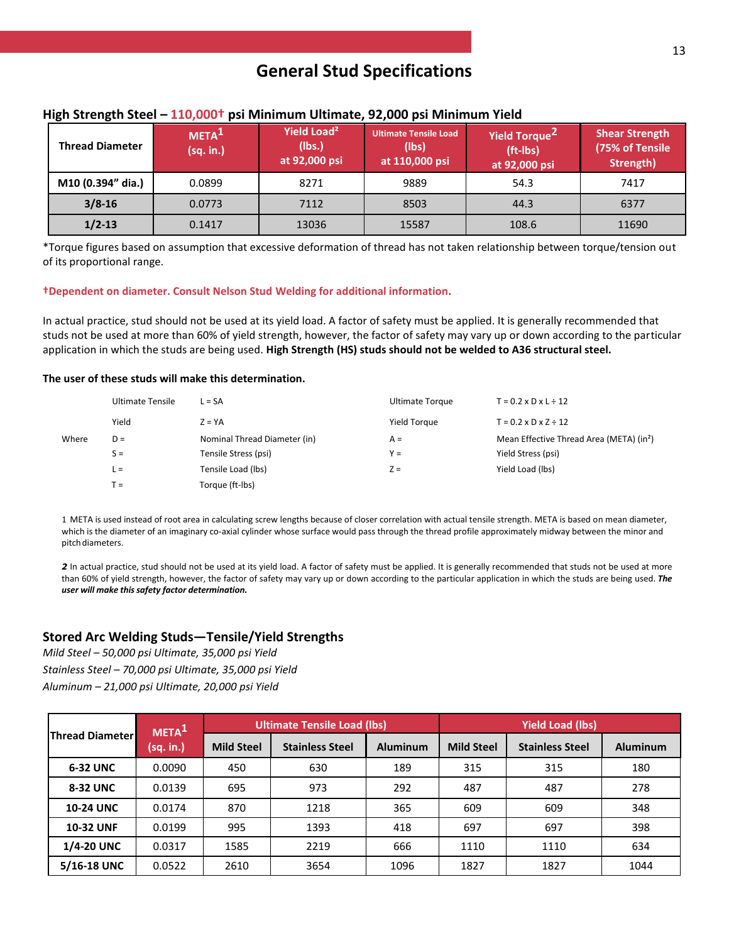| <b>Thread Diameter</b> | META <sup>T</sup><br>(sq. in.) | Yield Load <sup>2</sup><br>(lbs.)<br>at 92,000 psi | <b>Ultimate Tensile Load</b><br>(lbs)<br>at 110,000 psi | Yield Torque <sup>2</sup><br>$(ft - Ibs)$<br>at 92,000 psi | <b>Shear Strength</b><br>(75% of Tensile<br>Strength) |
|------------------------|--------------------------------|----------------------------------------------------|---------------------------------------------------------|------------------------------------------------------------|-------------------------------------------------------|
| M10 (0.394" dia.)      | 0.0899                         | 8271                                               | 9889                                                    | 54.3                                                       | 7417                                                  |
| $3/8 - 16$             | 0.0773                         | 7112                                               | 8503                                                    | 44.3                                                       | 6377                                                  |
| $1/2 - 13$             | 0.1417                         | 13036                                              | 15587                                                   | 108.6                                                      | 11690                                                 |

### **High Strength Steel – 110,000† psi Minimum Ultimate, 92,000 psi Minimum Yield**

\*Torque figures based on assumption that excessive deformation of thread has not taken relationship between torque/tension out of its proportional range.

#### **†Dependent on diameter. Consult Nelson Stud Welding for additional information.**

In actual practice, stud should not be used at its yield load. A factor of safety must be applied. It is generally recommended that studs not be used at more than 60% of yield strength, however, the factor of safety may vary up or down according to the particular application in which the studs are being used. **High Strength (HS) studs should not be welded to A36 structural steel.**

#### **The user of these studs will make this determination.**

|       | <b>Ultimate Tensile</b> | $L = SA$                     | <b>Ultimate Torque</b> | $T = 0.2 \times D \times L \div 12$                  |
|-------|-------------------------|------------------------------|------------------------|------------------------------------------------------|
|       | Yield                   | $Z = YA$                     | Yield Torque           | $T = 0.2 \times D \times Z \div 12$                  |
| Where | $D =$                   | Nominal Thread Diameter (in) | $A =$                  | Mean Effective Thread Area (META) (in <sup>2</sup> ) |
|       | $S =$                   | Tensile Stress (psi)         | $Y =$                  | Yield Stress (psi)                                   |
|       | $L =$                   | Tensile Load (lbs)           | $Z =$                  | Yield Load (lbs)                                     |
|       | ` =                     | Torque (ft-lbs)              |                        |                                                      |

1 META is used instead of root area in calculating screw lengths because of closer correlation with actual tensile strength. META is based on mean diameter, which is the diameter of an imaginary co-axial cylinder whose surface would pass through the thread profile approximately midway between the minor and pitch diameters.

2 In actual practice, stud should not be used at its yield load. A factor of safety must be applied. It is generally recommended that studs not be used at more than 60% of yield strength, however, the factor of safety may vary up or down according to the particular application in which the studs are being used. *The user will make thissafety factor determination.*

### **Stored Arc Welding Studs—Tensile/Yield Strengths**

*Mild Steel – 50,000 psi Ultimate, 35,000 psi Yield*

*Stainless Steel – 70,000 psi Ultimate, 35,000 psi Yield* 

*Aluminum – 21,000 psi Ultimate, 20,000 psi Yield*

|                                     | META <sup>1</sup> | <b>Ultimate Tensile Load (lbs)</b> |                 |                   | <b>Yield Load (lbs)</b> |                 |      |
|-------------------------------------|-------------------|------------------------------------|-----------------|-------------------|-------------------------|-----------------|------|
| <b>Thread Diameter</b><br>(sq. in.) | <b>Mild Steel</b> | <b>Stainless Steel</b>             | <b>Aluminum</b> | <b>Mild Steel</b> | <b>Stainless Steel</b>  | <b>Aluminum</b> |      |
| <b>6-32 UNC</b>                     | 0.0090            | 450                                | 630             | 189               | 315                     | 315             | 180  |
| 8-32 UNC                            | 0.0139            | 695                                | 973             | 292               | 487                     | 487             | 278  |
| <b>10-24 UNC</b>                    | 0.0174            | 870                                | 1218            | 365               | 609                     | 609             | 348  |
| <b>10-32 UNF</b>                    | 0.0199            | 995                                | 1393            | 418               | 697                     | 697             | 398  |
| <b>1/4-20 UNC</b>                   | 0.0317            | 1585                               | 2219            | 666               | 1110                    | 1110            | 634  |
| 5/16-18 UNC                         | 0.0522            | 2610                               | 3654            | 1096              | 1827                    | 1827            | 1044 |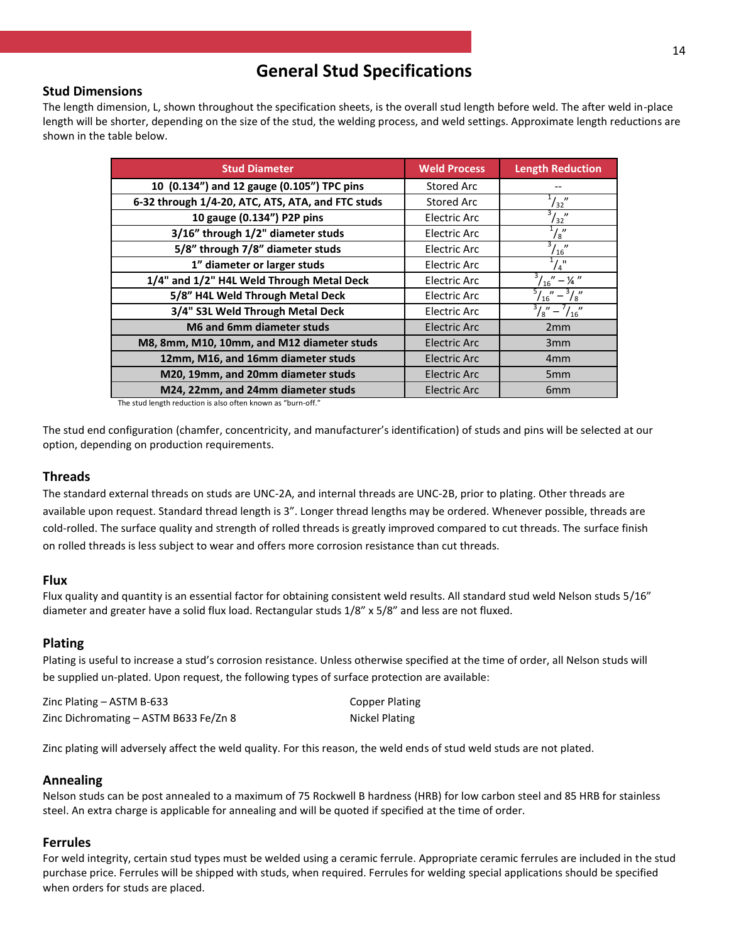### **Stud Dimensions**

The length dimension, L, shown throughout the specification sheets, is the overall stud length before weld. The after weld in-place length will be shorter, depending on the size of the stud, the welding process, and weld settings. Approximate length reductions are shown in the table below.

| <b>Stud Diameter</b>                              | <b>Weld Process</b> | <b>Length Reduction</b>         |
|---------------------------------------------------|---------------------|---------------------------------|
| 10 (0.134") and 12 gauge (0.105") TPC pins        | Stored Arc          |                                 |
| 6-32 through 1/4-20, ATC, ATS, ATA, and FTC studs | <b>Stored Arc</b>   | $^{1}/_{32}$ "                  |
| 10 gauge (0.134") P2P pins                        | <b>Electric Arc</b> | $\frac{3}{32}$                  |
| 3/16" through 1/2" diameter studs                 | <b>Electric Arc</b> | $^{1}/_{8}$ "                   |
| 5/8" through 7/8" diameter studs                  | Electric Arc        | $\frac{3}{16}$                  |
| 1" diameter or larger studs                       | <b>Electric Arc</b> | $^{1}/_{4}$ "                   |
| 1/4" and 1/2" H4L Weld Through Metal Deck         | <b>Electric Arc</b> | $\frac{3}{16}$ " – ¼ "          |
| 5/8" H4L Weld Through Metal Deck                  | Electric Arc        | $^{3}/_{8}$ "<br>$^{5}/_{16}$ " |
| 3/4" S3L Weld Through Metal Deck                  | <b>Electric Arc</b> | $\sqrt{s}$ " –<br>16''          |
| M6 and 6mm diameter studs                         | <b>Electric Arc</b> | 2mm                             |
| M8, 8mm, M10, 10mm, and M12 diameter studs        | Electric Arc        | 3mm                             |
| 12mm, M16, and 16mm diameter studs                | <b>Electric Arc</b> | 4 <sub>mm</sub>                 |
| M20, 19mm, and 20mm diameter studs                | <b>Electric Arc</b> | 5 <sub>mm</sub>                 |
| M24, 22mm, and 24mm diameter studs                | <b>Electric Arc</b> | 6 <sub>mm</sub>                 |

The stud length reduction is also often known as "burn-off."

The stud end configuration (chamfer, concentricity, and manufacturer's identification) of studs and pins will be selected at our option, depending on production requirements.

### **Threads**

The standard external threads on studs are UNC-2A, and internal threads are UNC-2B, prior to plating. Other threads are available upon request. Standard thread length is 3". Longer thread lengths may be ordered. Whenever possible, threads are cold-rolled. The surface quality and strength of rolled threads is greatly improved compared to cut threads. The surface finish on rolled threads is less subject to wear and offers more corrosion resistance than cut threads.

### **Flux**

Flux quality and quantity is an essential factor for obtaining consistent weld results. All standard stud weld Nelson studs 5/16" diameter and greater have a solid flux load. Rectangular studs 1/8" x 5/8" and less are not fluxed.

### **Plating**

Plating is useful to increase a stud's corrosion resistance. Unless otherwise specified at the time of order, all Nelson studs will be supplied un-plated. Upon request, the following types of surface protection are available:

| Zinc Plating $-$ ASTM B-633           | <b>Copper Plating</b> |
|---------------------------------------|-----------------------|
| Zinc Dichromating – ASTM B633 Fe/Zn 8 | Nickel Plating        |

Zinc plating will adversely affect the weld quality. For this reason, the weld ends of stud weld studs are not plated.

### **Annealing**

Nelson studs can be post annealed to a maximum of 75 Rockwell B hardness (HRB) for low carbon steel and 85 HRB for stainless steel. An extra charge is applicable for annealing and will be quoted if specified at the time of order.

### **Ferrules**

For weld integrity, certain stud types must be welded using a ceramic ferrule. Appropriate ceramic ferrules are included in the stud purchase price. Ferrules will be shipped with studs, when required. Ferrules for welding special applications should be specified when orders for studs are placed.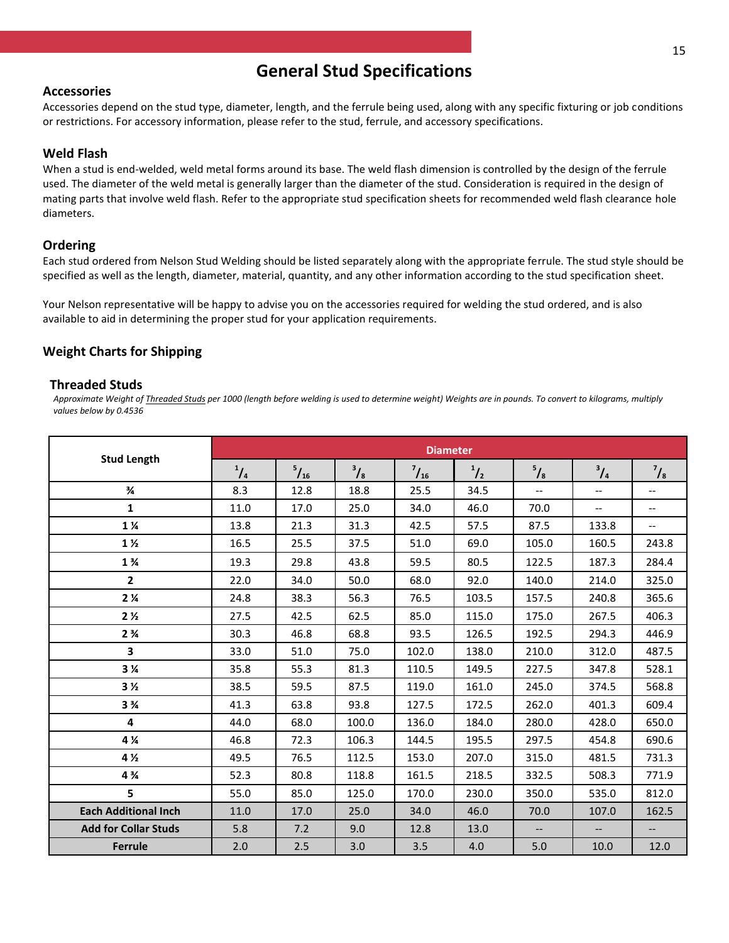### **Accessories**

Accessories depend on the stud type, diameter, length, and the ferrule being used, along with any specific fixturing or job conditions or restrictions. For accessory information, please refer to the stud, ferrule, and accessory specifications.

### **Weld Flash**

When a stud is end-welded, weld metal forms around its base. The weld flash dimension is controlled by the design of the ferrule used. The diameter of the weld metal is generally larger than the diameter of the stud. Consideration is required in the design of mating parts that involve weld flash. Refer to the appropriate stud specification sheets for recommended weld flash clearance hole diameters.

### **Ordering**

Each stud ordered from Nelson Stud Welding should be listed separately along with the appropriate ferrule. The stud style should be specified as well as the length, diameter, material, quantity, and any other information according to the stud specification sheet.

Your Nelson representative will be happy to advise you on the accessories required for welding the stud ordered, and is also available to aid in determining the proper stud for your application requirements.

### **Weight Charts for Shipping**

### **Threaded Studs**

*Approximate Weight of Threaded Studs per 1000 (length before welding is used to determine weight) Weights are in pounds. To convert to kilograms, multiply values below by 0.4536*

| <b>Stud Length</b>            | <b>Diameter</b> |              |               |              |             |                          |                          |                          |
|-------------------------------|-----------------|--------------|---------------|--------------|-------------|--------------------------|--------------------------|--------------------------|
|                               | $^{1}/_{4}$     | $^{5}/_{16}$ | $\frac{3}{8}$ | $^{7}/_{16}$ | $^{1}/_{2}$ | $\frac{5}{8}$            | $\frac{3}{4}$            | $\frac{7}{8}$            |
| $\frac{3}{4}$                 | 8.3             | 12.8         | 18.8          | 25.5         | 34.5        | $\overline{\phantom{a}}$ | $-$                      | $\overline{\phantom{a}}$ |
| $\mathbf{1}$                  | 11.0            | 17.0         | 25.0          | 34.0         | 46.0        | 70.0                     | --                       | $\overline{\phantom{a}}$ |
| $1\,\mathrm{\%}$              | 13.8            | 21.3         | 31.3          | 42.5         | 57.5        | 87.5                     | 133.8                    | $\overline{\phantom{a}}$ |
| $1\%$                         | 16.5            | 25.5         | 37.5          | 51.0         | 69.0        | 105.0                    | 160.5                    | 243.8                    |
| $1\frac{3}{4}$                | 19.3            | 29.8         | 43.8          | 59.5         | 80.5        | 122.5                    | 187.3                    | 284.4                    |
| $\overline{\mathbf{2}}$       | 22.0            | 34.0         | 50.0          | 68.0         | 92.0        | 140.0                    | 214.0                    | 325.0                    |
| 2 <sub>4</sub>                | 24.8            | 38.3         | 56.3          | 76.5         | 103.5       | 157.5                    | 240.8                    | 365.6                    |
| 2 <sub>2</sub>                | 27.5            | 42.5         | 62.5          | 85.0         | 115.0       | 175.0                    | 267.5                    | 406.3                    |
| 2 <sup>3</sup> / <sub>4</sub> | 30.3            | 46.8         | 68.8          | 93.5         | 126.5       | 192.5                    | 294.3                    | 446.9                    |
| 3                             | 33.0            | 51.0         | 75.0          | 102.0        | 138.0       | 210.0                    | 312.0                    | 487.5                    |
| 3 <sub>%</sub>                | 35.8            | 55.3         | 81.3          | 110.5        | 149.5       | 227.5                    | 347.8                    | 528.1                    |
| 3 <sub>2</sub>                | 38.5            | 59.5         | 87.5          | 119.0        | 161.0       | 245.0                    | 374.5                    | 568.8                    |
| 3 <sup>3</sup> / <sub>4</sub> | 41.3            | 63.8         | 93.8          | 127.5        | 172.5       | 262.0                    | 401.3                    | 609.4                    |
| 4                             | 44.0            | 68.0         | 100.0         | 136.0        | 184.0       | 280.0                    | 428.0                    | 650.0                    |
| 4 %                           | 46.8            | 72.3         | 106.3         | 144.5        | 195.5       | 297.5                    | 454.8                    | 690.6                    |
| 4 <sub>2</sub>                | 49.5            | 76.5         | 112.5         | 153.0        | 207.0       | 315.0                    | 481.5                    | 731.3                    |
| $4\frac{3}{4}$                | 52.3            | 80.8         | 118.8         | 161.5        | 218.5       | 332.5                    | 508.3                    | 771.9                    |
| 5                             | 55.0            | 85.0         | 125.0         | 170.0        | 230.0       | 350.0                    | 535.0                    | 812.0                    |
| <b>Each Additional Inch</b>   | 11.0            | 17.0         | 25.0          | 34.0         | 46.0        | 70.0                     | 107.0                    | 162.5                    |
| <b>Add for Collar Studs</b>   | 5.8             | 7.2          | 9.0           | 12.8         | 13.0        | $\overline{\phantom{a}}$ | $\overline{\phantom{a}}$ | $\overline{\phantom{m}}$ |
| Ferrule                       | 2.0             | 2.5          | 3.0           | 3.5          | 4.0         | 5.0                      | 10.0                     | 12.0                     |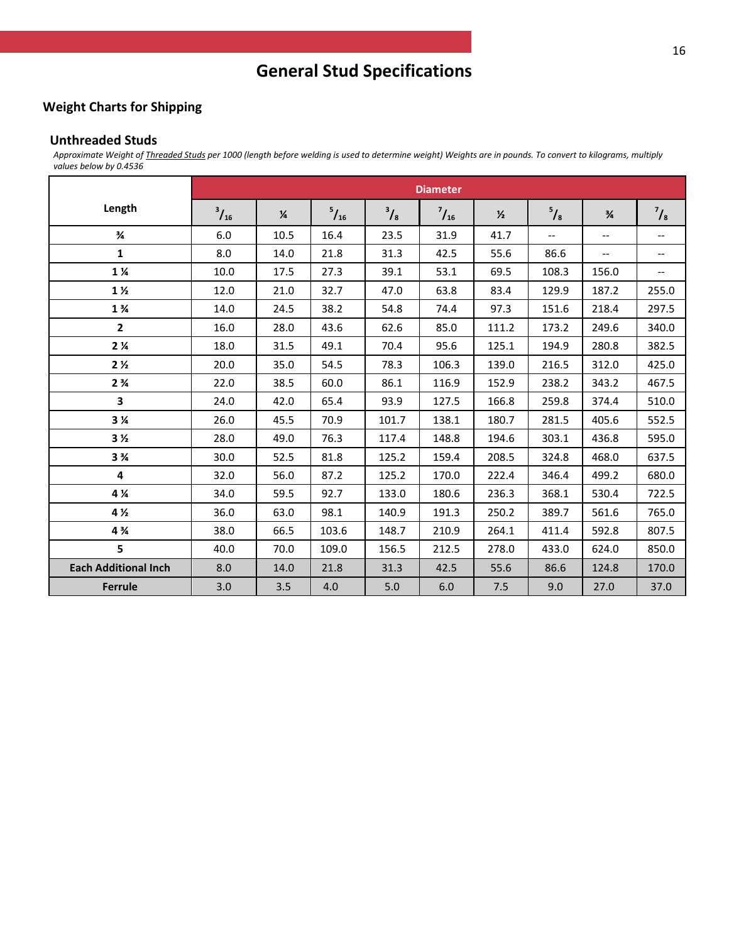### **Weight Charts for Shipping**

#### **Unthreaded Studs**

*Approximate Weight of Threaded Studs per 1000 (length before welding is used to determine weight) Weights are in pounds. To convert to kilograms, multiply values below by 0.4536*

|                               | <b>Diameter</b> |               |              |               |              |               |               |                          |                          |
|-------------------------------|-----------------|---------------|--------------|---------------|--------------|---------------|---------------|--------------------------|--------------------------|
| Length                        | $^{3}/_{16}$    | $\frac{1}{4}$ | $^{5}/_{16}$ | $\frac{3}{8}$ | $^{7}/_{16}$ | $\frac{1}{2}$ | $\frac{5}{8}$ | $\frac{3}{4}$            | $\frac{7}{8}$            |
| $\frac{3}{4}$                 | 6.0             | 10.5          | 16.4         | 23.5          | 31.9         | 41.7          | $-$           | $\overline{\phantom{a}}$ | $\overline{\phantom{a}}$ |
| $\mathbf{1}$                  | 8.0             | 14.0          | 21.8         | 31.3          | 42.5         | 55.6          | 86.6          | $\overline{\phantom{a}}$ | $\hspace{0.05cm} \ldots$ |
| $1\,\mathrm{\%}$              | 10.0            | 17.5          | 27.3         | 39.1          | 53.1         | 69.5          | 108.3         | 156.0                    | $\overline{\phantom{a}}$ |
| 1 <sub>2</sub>                | 12.0            | 21.0          | 32.7         | 47.0          | 63.8         | 83.4          | 129.9         | 187.2                    | 255.0                    |
| $1\frac{3}{4}$                | 14.0            | 24.5          | 38.2         | 54.8          | 74.4         | 97.3          | 151.6         | 218.4                    | 297.5                    |
| $\overline{2}$                | 16.0            | 28.0          | 43.6         | 62.6          | 85.0         | 111.2         | 173.2         | 249.6                    | 340.0                    |
| 2 <sub>4</sub>                | 18.0            | 31.5          | 49.1         | 70.4          | 95.6         | 125.1         | 194.9         | 280.8                    | 382.5                    |
| 2 <sub>2</sub>                | 20.0            | 35.0          | 54.5         | 78.3          | 106.3        | 139.0         | 216.5         | 312.0                    | 425.0                    |
| 2 <sup>3</sup> / <sub>4</sub> | 22.0            | 38.5          | 60.0         | 86.1          | 116.9        | 152.9         | 238.2         | 343.2                    | 467.5                    |
| 3                             | 24.0            | 42.0          | 65.4         | 93.9          | 127.5        | 166.8         | 259.8         | 374.4                    | 510.0                    |
| 3 <sub>4</sub>                | 26.0            | 45.5          | 70.9         | 101.7         | 138.1        | 180.7         | 281.5         | 405.6                    | 552.5                    |
| 3 <sub>2</sub>                | 28.0            | 49.0          | 76.3         | 117.4         | 148.8        | 194.6         | 303.1         | 436.8                    | 595.0                    |
| 3 <sup>3</sup> / <sub>4</sub> | 30.0            | 52.5          | 81.8         | 125.2         | 159.4        | 208.5         | 324.8         | 468.0                    | 637.5                    |
| 4                             | 32.0            | 56.0          | 87.2         | 125.2         | 170.0        | 222.4         | 346.4         | 499.2                    | 680.0                    |
| 4 %                           | 34.0            | 59.5          | 92.7         | 133.0         | 180.6        | 236.3         | 368.1         | 530.4                    | 722.5                    |
| 4 %                           | 36.0            | 63.0          | 98.1         | 140.9         | 191.3        | 250.2         | 389.7         | 561.6                    | 765.0                    |
| 4 %                           | 38.0            | 66.5          | 103.6        | 148.7         | 210.9        | 264.1         | 411.4         | 592.8                    | 807.5                    |
| 5                             | 40.0            | 70.0          | 109.0        | 156.5         | 212.5        | 278.0         | 433.0         | 624.0                    | 850.0                    |
| <b>Each Additional Inch</b>   | 8.0             | 14.0          | 21.8         | 31.3          | 42.5         | 55.6          | 86.6          | 124.8                    | 170.0                    |
| <b>Ferrule</b>                | 3.0             | 3.5           | 4.0          | 5.0           | 6.0          | 7.5           | 9.0           | 27.0                     | 37.0                     |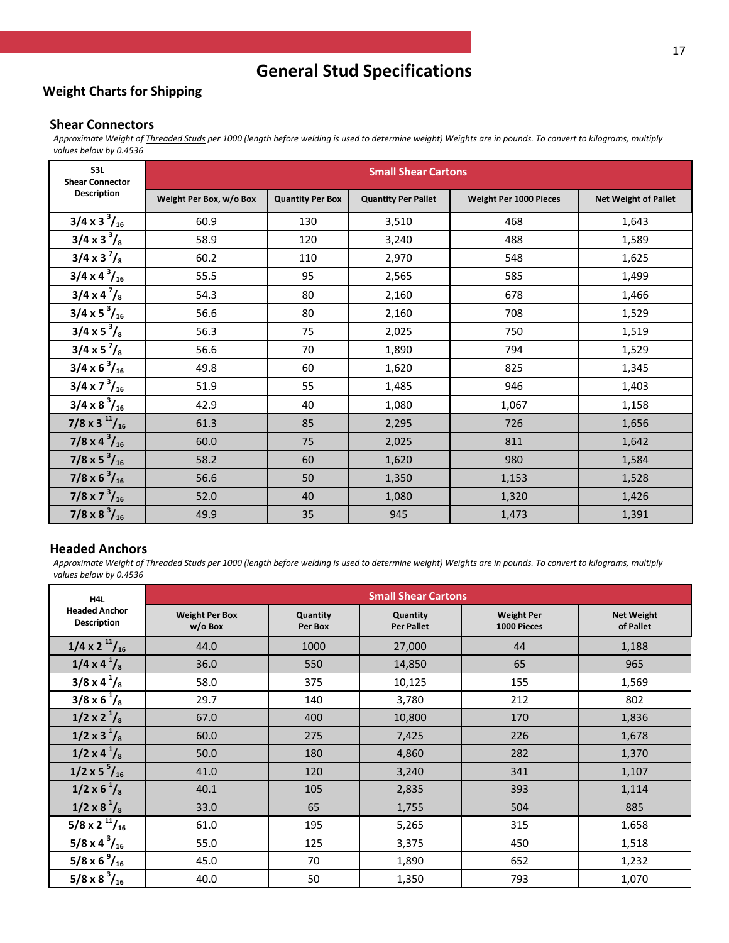### **Weight Charts for Shipping**

### **Shear Connectors**

*Approximate Weight of Threaded Studs per 1000 (length before welding is used to determine weight) Weights are in pounds. To convert to kilograms, multiply values below by 0.4536*

| S3L<br><b>Shear Connector</b> | <b>Small Shear Cartons</b> |                         |                            |                        |                             |  |  |  |
|-------------------------------|----------------------------|-------------------------|----------------------------|------------------------|-----------------------------|--|--|--|
| <b>Description</b>            | Weight Per Box, w/o Box    | <b>Quantity Per Box</b> | <b>Quantity Per Pallet</b> | Weight Per 1000 Pieces | <b>Net Weight of Pallet</b> |  |  |  |
| $3/4 \times 3^{3}/_{16}$      | 60.9                       | 130                     | 3,510                      | 468                    | 1,643                       |  |  |  |
| $3/4 \times 3^{3}/_{8}$       | 58.9                       | 120                     | 3,240                      | 488                    | 1,589                       |  |  |  |
| $3/4 \times 3^{7}/_{8}$       | 60.2                       | 110                     | 2,970                      | 548                    | 1,625                       |  |  |  |
| $3/4 \times 4^{3}/_{16}$      | 55.5                       | 95                      | 2,565                      | 585                    | 1,499                       |  |  |  |
| $3/4 x 4^{7}/8$               | 54.3                       | 80                      | 2,160                      | 678                    | 1,466                       |  |  |  |
| $3/4 \times 5^{3}/_{16}$      | 56.6                       | 80                      | 2,160                      | 708                    | 1,529                       |  |  |  |
| $3/4 \times 5^{3}/_{8}$       | 56.3                       | 75                      | 2,025                      | 750                    | 1,519                       |  |  |  |
| $3/4 \times 5^{7}/_{8}$       | 56.6                       | 70                      | 1,890                      | 794                    | 1,529                       |  |  |  |
| $3/4 \times 6^{3}/_{16}$      | 49.8                       | 60                      | 1,620                      | 825                    | 1,345                       |  |  |  |
| $3/4 \times 7^{3}/_{16}$      | 51.9                       | 55                      | 1,485                      | 946                    | 1,403                       |  |  |  |
| $3/4 \times 8^{3}/_{16}$      | 42.9                       | 40                      | 1,080                      | 1,067                  | 1,158                       |  |  |  |
| $7/8 \times 3^{11}/_{16}$     | 61.3                       | 85                      | 2,295                      | 726                    | 1,656                       |  |  |  |
| $7/8 \times 4^{3}/_{16}$      | 60.0                       | 75                      | 2,025                      | 811                    | 1,642                       |  |  |  |
| 7/8 x 5 $^{3}/_{16}$          | 58.2                       | 60                      | 1,620                      | 980                    | 1,584                       |  |  |  |
| 7/8 x 6 $^{3}/_{16}$          | 56.6                       | 50                      | 1,350                      | 1,153                  | 1,528                       |  |  |  |
| $7/8 \times 7^{3}/_{16}$      | 52.0                       | 40                      | 1,080                      | 1,320                  | 1,426                       |  |  |  |
| $7/8 \times 8^{3}/_{16}$      | 49.9                       | 35                      | 945                        | 1,473                  | 1,391                       |  |  |  |

### **Headed Anchors**

*Approximate Weight of Threaded Studs per 1000 (length before welding is used to determine weight) Weights are in pounds. To convert to kilograms, multiply values below by 0.4536*

| H4L                                         | <b>Small Shear Cartons</b>       |                     |                               |                                  |                                |  |  |
|---------------------------------------------|----------------------------------|---------------------|-------------------------------|----------------------------------|--------------------------------|--|--|
| <b>Headed Anchor</b><br><b>Description</b>  | <b>Weight Per Box</b><br>w/o Box | Quantity<br>Per Box | Quantity<br><b>Per Pallet</b> | <b>Weight Per</b><br>1000 Pieces | <b>Net Weight</b><br>of Pallet |  |  |
| $1/4 \times 2^{11}/_{16}$                   | 44.0                             | 1000                | 27,000                        | 44                               | 1,188                          |  |  |
| $1/4 \times 4^{1}/_{8}$                     | 36.0                             | 550                 | 14,850                        | 65                               | 965                            |  |  |
| $3/8 \times 4^{1}/_{8}$                     | 58.0                             | 375                 | 10,125                        | 155                              | 1,569                          |  |  |
| $3/8 \times 6^{1}/_{8}$                     | 29.7                             | 140                 | 3,780                         | 212                              | 802                            |  |  |
| $1/2 \times 2^{1}/8$                        | 67.0                             | 400                 | 10,800                        | 170                              | 1,836                          |  |  |
| $1/2 \times 3^{1}/_{8}$                     | 60.0                             | 275                 | 7,425                         | 226                              | 1,678                          |  |  |
| $1/2 \times 4^{1}/_{8}$                     | 50.0                             | 180                 | 4,860                         | 282                              | 1,370                          |  |  |
| $1/2 \times 5^{5}/_{16}$                    | 41.0                             | 120                 | 3,240                         | 341                              | 1,107                          |  |  |
| $1/2 \times 6^{1}/_{8}$                     | 40.1                             | 105                 | 2,835                         | 393                              | 1,114                          |  |  |
| $1/2 \times 8^{\frac{1}{2}}$ / <sub>8</sub> | 33.0                             | 65                  | 1,755                         | 504                              | 885                            |  |  |
| $5/8 \times 2^{11}/_{16}$                   | 61.0                             | 195                 | 5,265                         | 315                              | 1,658                          |  |  |
| $5/8 \times 4^{3}/_{16}$                    | 55.0                             | 125                 | 3,375                         | 450                              | 1,518                          |  |  |
| $5/8 \times 6^{9}/_{16}$                    | 45.0                             | 70                  | 1,890                         | 652                              | 1,232                          |  |  |
| $5/8 \times 8^{3}/_{16}$                    | 40.0                             | 50                  | 1,350                         | 793                              | 1,070                          |  |  |